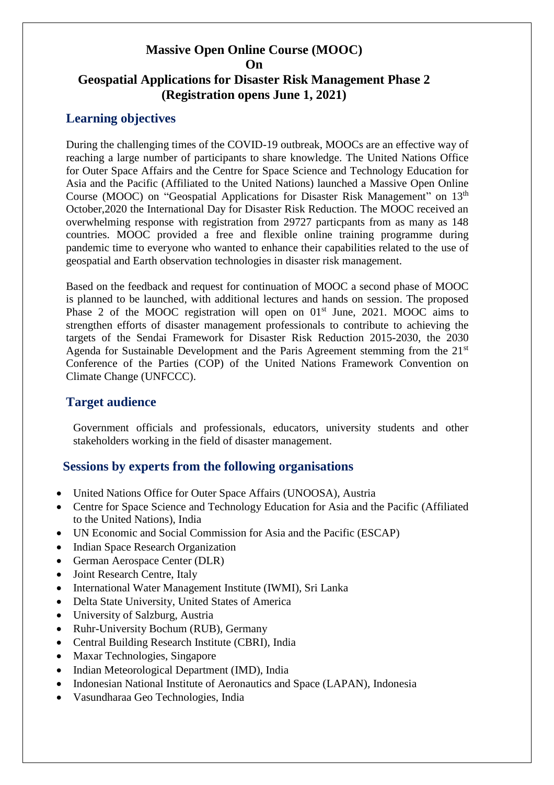# **Massive Open Online Course (MOOC) On Geospatial Applications for Disaster Risk Management Phase 2 (Registration opens June 1, 2021)**

# **Learning objectives**

During the challenging times of the COVID-19 outbreak, MOOCs are an effective way of reaching a large number of participants to share knowledge. The United Nations Office for Outer Space Affairs and the Centre for Space Science and Technology Education for Asia and the Pacific (Affiliated to the United Nations) launched a Massive Open Online Course (MOOC) on "Geospatial Applications for Disaster Risk Management" on 13<sup>th</sup> October,2020 the International Day for Disaster Risk Reduction. The MOOC received an overwhelming response with registration from 29727 particpants from as many as 148 countries. MOOC provided a free and flexible online training programme during pandemic time to everyone who wanted to enhance their capabilities related to the use of geospatial and Earth observation technologies in disaster risk management.

Based on the feedback and request for continuation of MOOC a second phase of MOOC is planned to be launched, with additional lectures and hands on session. The proposed Phase 2 of the MOOC registration will open on  $01<sup>st</sup>$  June, 2021. MOOC aims to strengthen efforts of disaster management professionals to contribute to achieving the targets of the Sendai Framework for Disaster Risk Reduction 2015-2030, the 2030 Agenda for Sustainable Development and the Paris Agreement stemming from the  $21<sup>st</sup>$ Conference of the Parties (COP) of the United Nations Framework Convention on Climate Change (UNFCCC).

# **Target audience**

Government officials and professionals, educators, university students and other stakeholders working in the field of disaster management.

# **Sessions by experts from the following organisations**

- United Nations Office for Outer Space Affairs (UNOOSA), Austria
- Centre for Space Science and Technology Education for Asia and the Pacific (Affiliated to the United Nations), India
- UN Economic and Social Commission for Asia and the Pacific (ESCAP)
- Indian Space Research Organization
- German Aerospace Center (DLR)
- Joint Research Centre, Italy
- International Water Management Institute (IWMI), Sri Lanka
- Delta State University, United States of America
- University of Salzburg, Austria
- Ruhr-University Bochum (RUB), Germany
- Central Building Research Institute (CBRI), India
- Maxar Technologies, Singapore
- Indian Meteorological Department (IMD), India
- Indonesian National Institute of Aeronautics and Space (LAPAN), Indonesia
- Vasundharaa Geo Technologies, India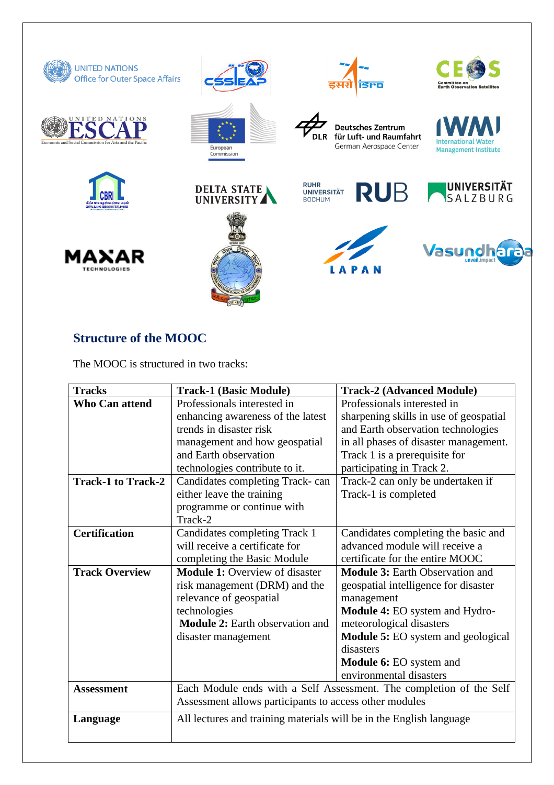

# **Structure of the MOOC**

The MOOC is structured in two tracks:

| Professionals interested in<br><b>Who Can attend</b>           |                                                                     |  |
|----------------------------------------------------------------|---------------------------------------------------------------------|--|
|                                                                | Professionals interested in                                         |  |
| enhancing awareness of the latest                              | sharpening skills in use of geospatial                              |  |
| trends in disaster risk                                        | and Earth observation technologies                                  |  |
| management and how geospatial                                  | in all phases of disaster management.                               |  |
| and Earth observation                                          | Track 1 is a prerequisite for                                       |  |
| technologies contribute to it.                                 | participating in Track 2.                                           |  |
| <b>Track-1 to Track-2</b><br>Candidates completing Track- can  | Track-2 can only be undertaken if                                   |  |
| either leave the training                                      | Track-1 is completed                                                |  |
| programme or continue with                                     |                                                                     |  |
| Track-2                                                        |                                                                     |  |
| <b>Certification</b><br>Candidates completing Track 1          | Candidates completing the basic and                                 |  |
| will receive a certificate for                                 | advanced module will receive a                                      |  |
| completing the Basic Module                                    | certificate for the entire MOOC                                     |  |
| <b>Track Overview</b><br><b>Module 1: Overview of disaster</b> | <b>Module 3: Earth Observation and</b>                              |  |
| risk management (DRM) and the                                  | geospatial intelligence for disaster                                |  |
| relevance of geospatial<br>management                          |                                                                     |  |
| technologies                                                   | Module 4: EO system and Hydro-                                      |  |
| <b>Module 2:</b> Earth observation and                         | meteorological disasters                                            |  |
| disaster management                                            | <b>Module 5:</b> EO system and geological                           |  |
| disasters                                                      |                                                                     |  |
|                                                                | Module 6: EO system and                                             |  |
|                                                                | environmental disasters                                             |  |
| <b>Assessment</b>                                              | Each Module ends with a Self Assessment. The completion of the Self |  |
|                                                                | Assessment allows participants to access other modules              |  |
| Language                                                       | All lectures and training materials will be in the English language |  |
|                                                                |                                                                     |  |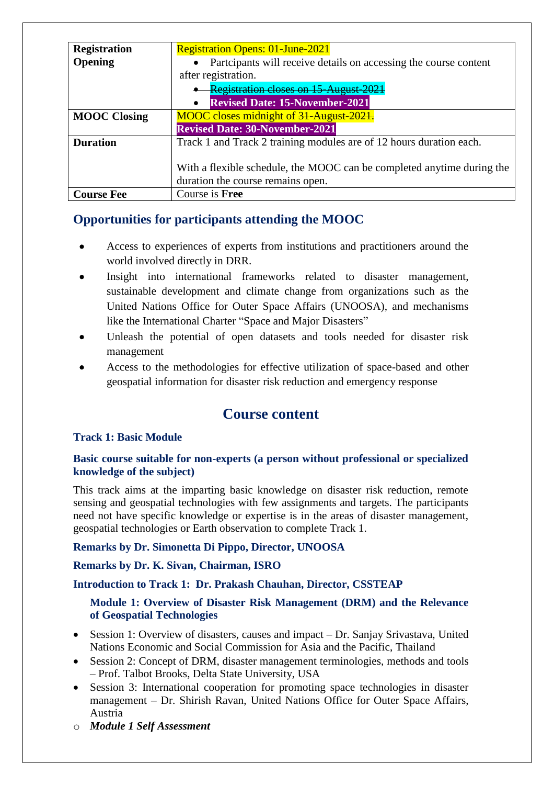| <b>Registration</b> | <b>Registration Opens: 01-June-2021</b>                                |  |
|---------------------|------------------------------------------------------------------------|--|
| Opening             | • Particpants will receive details on accessing the course content     |  |
|                     | after registration.                                                    |  |
|                     | <b>Registration closes on 15-August-2021</b>                           |  |
|                     | <b>Revised Date: 15-November-2021</b><br>$\bullet$                     |  |
| <b>MOOC Closing</b> | MOOC closes midnight of 31-August-2021.                                |  |
|                     | <b>Revised Date: 30-November-2021</b>                                  |  |
| <b>Duration</b>     | Track 1 and Track 2 training modules are of 12 hours duration each.    |  |
|                     |                                                                        |  |
|                     | With a flexible schedule, the MOOC can be completed anytime during the |  |
|                     | duration the course remains open.                                      |  |
| <b>Course Fee</b>   | Course is Free                                                         |  |

# **Opportunities for participants attending the MOOC**

- Access to experiences of experts from institutions and practitioners around the world involved directly in DRR.
- Insight into international frameworks related to disaster management, sustainable development and climate change from organizations such as the United Nations Office for Outer Space Affairs (UNOOSA), and mechanisms like the International Charter "Space and Major Disasters"
- Unleash the potential of open datasets and tools needed for disaster risk management
- Access to the methodologies for effective utilization of space-based and other geospatial information for disaster risk reduction and emergency response

# **Course content**

# **Track 1: Basic Module**

## **Basic course suitable for non-experts (a person without professional or specialized knowledge of the subject)**

This track aims at the imparting basic knowledge on disaster risk reduction, remote sensing and geospatial technologies with few assignments and targets. The participants need not have specific knowledge or expertise is in the areas of disaster management, geospatial technologies or Earth observation to complete Track 1.

# **Remarks by Dr. Simonetta Di Pippo, Director, UNOOSA**

# **Remarks by Dr. K. Sivan, Chairman, ISRO**

## **Introduction to Track 1: Dr. Prakash Chauhan, Director, CSSTEAP**

## **Module 1: Overview of Disaster Risk Management (DRM) and the Relevance of Geospatial Technologies**

- Session 1: Overview of disasters, causes and impact Dr. Sanjay Srivastava, United Nations Economic and Social Commission for Asia and the Pacific, Thailand
- Session 2: Concept of DRM, disaster management terminologies, methods and tools – Prof. Talbot Brooks, Delta State University, USA
- Session 3: International cooperation for promoting space technologies in disaster management – Dr. Shirish Ravan, United Nations Office for Outer Space Affairs, Austria
- o *Module 1 Self Assessment*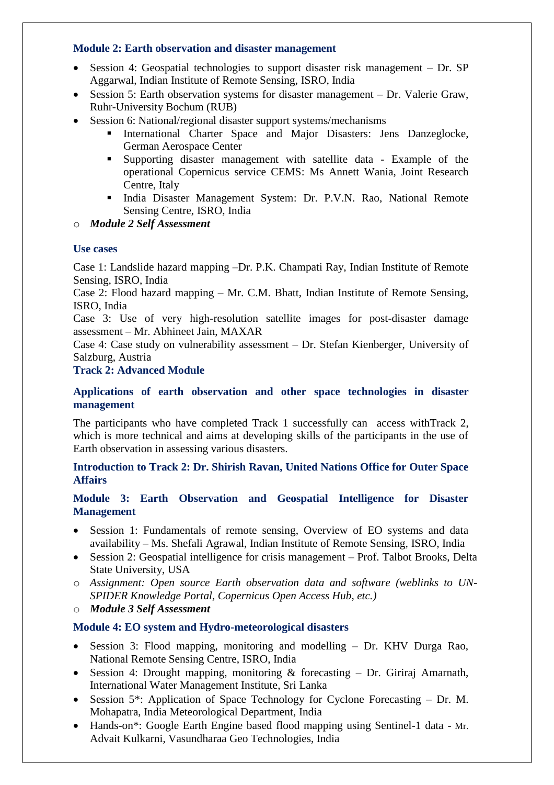#### **Module 2: Earth observation and disaster management**

- Session 4: Geospatial technologies to support disaster risk management Dr. SP Aggarwal, Indian Institute of Remote Sensing, ISRO, India
- Session 5: Earth observation systems for disaster management Dr. Valerie Graw, Ruhr-University Bochum (RUB)
- Session 6: National/regional disaster support systems/mechanisms
	- International Charter Space and Major Disasters: Jens Danzeglocke, German Aerospace Center
	- Supporting disaster management with satellite data Example of the operational Copernicus service CEMS: Ms Annett Wania, Joint Research Centre, Italy
	- India Disaster Management System: Dr. P.V.N. Rao, National Remote Sensing Centre, ISRO, India
- o *Module 2 Self Assessment*

## **Use cases**

Case 1: Landslide hazard mapping –Dr. P.K. Champati Ray, Indian Institute of Remote Sensing, ISRO, India

Case 2: Flood hazard mapping – Mr. C.M. Bhatt, Indian Institute of Remote Sensing, ISRO, India

Case 3: Use of very high-resolution satellite images for post-disaster damage assessment – Mr. Abhineet Jain, MAXAR

Case 4: Case study on vulnerability assessment – Dr. Stefan Kienberger, University of Salzburg, Austria

## **Track 2: Advanced Module**

#### **Applications of earth observation and other space technologies in disaster management**

The participants who have completed Track 1 successfully can access withTrack 2, which is more technical and aims at developing skills of the participants in the use of Earth observation in assessing various disasters.

## **Introduction to Track 2: Dr. Shirish Ravan, United Nations Office for Outer Space Affairs**

#### **Module 3: Earth Observation and Geospatial Intelligence for Disaster Management**

- Session 1: Fundamentals of remote sensing, Overview of EO systems and data availability – Ms. Shefali Agrawal, Indian Institute of Remote Sensing, ISRO, India
- Session 2: Geospatial intelligence for crisis management Prof. Talbot Brooks, Delta State University, USA
- o *Assignment: Open source Earth observation data and software (weblinks to UN-SPIDER Knowledge Portal, Copernicus Open Access Hub, etc.)*
- o *Module 3 Self Assessment*

## **Module 4: EO system and Hydro-meteorological disasters**

- Session 3: Flood mapping, monitoring and modelling Dr. KHV Durga Rao, National Remote Sensing Centre, ISRO, India
- Session 4: Drought mapping, monitoring & forecasting Dr. Giriraj Amarnath, International Water Management Institute, Sri Lanka
- Session 5\*: Application of Space Technology for Cyclone Forecasting Dr. M. Mohapatra, India Meteorological Department, India
- Hands-on\*: Google Earth Engine based flood mapping using Sentinel-1 data Mr. Advait Kulkarni, Vasundharaa Geo Technologies, India